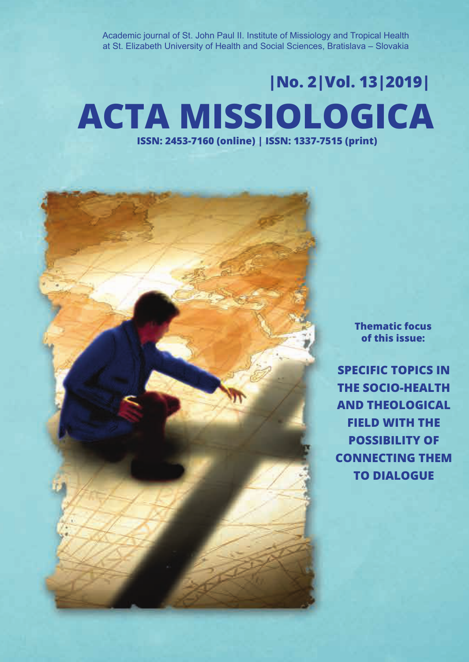Academic journal of St. John Paul II. Institute of Missiology and Tropical Health at St. Elizabeth University of Health and Social Sciences, Bratislava - Slovakia

# **|No. 2|Vol. 13|2019| ACTA MISSIOLOGICA ISSN: 2453-7160 (online) | ISSN: 1337-7515 (print)**



**Thematic focus of this issue:**

**SPECIFIC TOPICS IN THE SOCIO-HEALTH AND THEOLOGICAL FIELD WITH THE POSSIBILITY OF CONNECTING THEM TO DIALOGUE**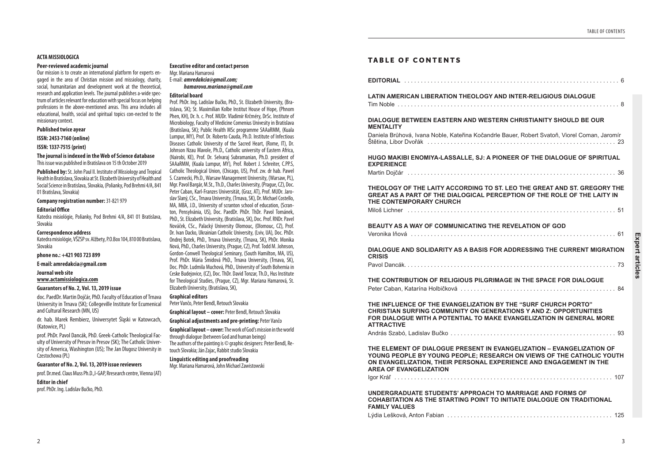### **ACTA MISSIOLOGICA**

### **Peer-reviewed academic journal**

Our mission is to create an international platform for experts engaged in the area of Christian mission and missiology, charity, social, humanitarian and development work at the theoretical, research and application levels. The journal publishes a-wide spectrum of articles relevant for education with special focus on helping professions in the above‑mentioned areas. This area includes all educational, health, social and spiritual topics con-nected to the missionary context.

### **Published twice ayear**

### **ISSN: 2453-7160 (online)**

#### **ISSN: 1337-7515 (print)**

**The journal is indexed in the Web of Science database** This issue was published in Bratislava on 15 th October 2019

**Published by:** St. John Paul II. Institute of Missiology and Tropical Health in Bratislava, Slovakia at St. Elizabeth University of Health and Social Science in Bratislava, Slovakia, (Polianky, Pod Brehmi 4/A, 841 01 Bratislava, Slovakia)

**Company registration number:** 31‑821 979

### **Editorial Office**

Katedra misiológie, Polianky, Pod Brehmi 4/A, 841 01 Bratislava, Slovakia

#### **Correspondence address**

Katedra misiológie, VŠZSP sv. Alžbety, P.O.Box 104, 810 00 Bratislava, Slovakia

### **phone no.: +421 903 723 899**

**E-mail: amredakcia@gmail.com**

### **Journal web site**

**www.actamissiologica.com**

### **Guarantors of No. 2, Vol. 13, 2019 issue**

doc. PaedDr. Martin Dojčár, PhD. Faculty of Education of Trnava University in Trnava (SK); Collegeville Institute for Ecumenical and Cultural Research (MN, US)

dr. hab. Marek Rembierz, Uniwersytet Śląski w Katowcach, (Katowice, PL)

prof. PhDr. Pavol Dancák, PhD. Greek‑Catholic Theological Fac‑ ulty of University of Presov in Presov (SK); The Catholic University of America, Washington (US); The Jan Dlugosz University in Czestochowa (PL)

#### **Guarantor of No. 2, Vol. 13, 2019 issue reviewers**

prof. Dr.med. Claus Muss Ph.D.,I‑GAP, Rresearch centre, Vienna (AT)

#### **Editor in chief**

prof. PhDr. Ing. Ladislav Bučko, PhD.

### **Executive editor and contact person** Mgr. Mariana Hamarová E‑mail: **amredakcia@gmail.com; hamarova.mariana@gmail.com**

### **Editorial board**

Prof. PhDr. Ing. Ladislav Bučko, PhD., St. Elizabeth University, (Bratislava, SK); St. Maximilian Kolbe Institut House of Hope, (Phnom Phen, KH), Dr. h. c. Prof. MUDr. Vladimír Krčméry, DrSc. Institute of Microbiology, Faculty of Medicine Comenius Univesity in Bratislava (Bratislava, SK); Public Health MSc programme SAAaRMM, (Kuala Lumpur, MY), Prof. Dr. Roberto Cauda, Ph.D. Institute of Infectious Diseases Catholic University of the Sacred Heart, (Rome, IT), Dr. Johnson Nzau Mavole, Ph.D., Catholic university of Eastern Africa, (Nairobi, KE), Prof. Dr. Selvaraj Subramanian, Ph.D. president of SAAaRMM, (Kuala Lumpur, MY), Prof. Robert J. Schreiter, C.PP.S, Catholic Theological Union, (Chicago, US), Prof. zw. dr hab. Pawel S. Czarnecki, Ph.D., Warsaw Management University, (Warsaw, PL), Mgr. Pavol Bargár, M.St., Th.D., Charles University, (Prague, CZ), Doc. Peter Caban, Karl-Franzes Universität, (Graz, AT), Prof. MUDr. Jaroslav Slaný, CSc., Trnava University, (Trnava, SK), Dr. Michael Costello, MA, MBA, J.D., University of scranton school of education, (Scranton, Pensylvánia, US), Doc. PaedDr. PhDr. ThDr. Pavol Tománek, PhD., St. Elizabeth University, (Bratislava, SK), Doc. Prof. RNDr. Pavel Nováček, CSc., Palacký University Olomouc, (Olomouc, CZ), Prof. Dr. Ivan Dacko, Ukrainian Catholic University, (Lviv, UA), Doc. PhDr. Ondrej Botek, PhD., Trnava University, (Trnava, SK), PhDr. Monika Nová, PhD., Charles University, (Prague, CZ), Prof. Todd M. Johnson, Gordon‑Conwell Theological Seminary, (South Hamilton, MA, US), Prof. PhDr. Mária Šmidová PhD., Trnava University, (Trnava, SK), Doc. PhDr. Ludmila Muchová, PhD., University of South Bohemia in Ceske Budejovice, (CZ), Doc. ThDr. David Tonzar, Th.D., Hus Institute for Theological Studies, (Prague, CZ), Mgr. Mariana Hamarová, St. Elizabeth University, (Bratislava, SK),

### **Graphical editors**

Peter Vančo, Peter Bendl, Retouch Slovakia

**Graphical layout – cover:** Peter Bendl, Retouch Slovakia

#### **Graphical adjustments and pre-printing:** Peter Vančo

**Graphical layout – cover:** The work of God's mission in the world through dialogue (between God and human beings) The authors of the painting is  $\odot$  graphic designers: Peter Bendl, Retouch Slovakia; Ján Zajac, Rabbit studio Slovakia

### **Linguistic editing and proofreading**

Mgr. Mariana Hamarová, John Michael Zawistowski

### TABLE OF CONTENTS

| LATIN AMERICAN LIBERATION THEOLOGY AND INTER-RELIGIOUS DIALOGUE                                                                                                                                                                                       |
|-------------------------------------------------------------------------------------------------------------------------------------------------------------------------------------------------------------------------------------------------------|
| DIALOGUE BETWEEN EASTERN AND WESTERN CHRISTIANITY SHOULD BE OUR<br><b>MENTALITY</b>                                                                                                                                                                   |
| Daniela Brůhová, Ivana Noble, Kateřina Kočandrle Bauer, Robert Svatoň, Viorel Coman, Jaromír                                                                                                                                                          |
| HUGO MAKIBI ENOMIYA-LASSALLE, SJ: A PIONEER OF THE DIALOGUE OF SPIRITUAL<br><b>EXPERIENCE</b>                                                                                                                                                         |
|                                                                                                                                                                                                                                                       |
| THEOLOGY OF THE LAITY ACCORDING TO ST. LEO THE GREAT AND ST. GREGORY THE<br>GREAT AS A PART OF THE DIALOGICAL PERCEPTION OF THE ROLE OF THE LAITY IN<br>THE CONTEMPORARY CHURCH                                                                       |
|                                                                                                                                                                                                                                                       |
| <b>BEAUTY AS A WAY OF COMMUNICATING THE REVELATION OF GOD</b>                                                                                                                                                                                         |
| DIALOGUE AND SOLIDARITY AS A BASIS FOR ADDRESSING THE CURRENT MIGRATION<br><b>CRISIS</b>                                                                                                                                                              |
|                                                                                                                                                                                                                                                       |
| THE CONTRIBUTION OF RELIGIOUS PILGRIMAGE IN THE SPACE FOR DIALOGUE                                                                                                                                                                                    |
| THE INFLUENCE OF THE EVANGELIZATION BY THE "SURF CHURCH PORTO"<br><b>CHRISTIAN SURFING COMMUNITY ON GENERATIONS Y AND Z: OPPORTUNITIES</b><br>FOR DIALOGUE WITH A POTENTIAL TO MAKE EVANGELIZATION IN GENERAL MORE<br><b>ATTRACTIVE</b>               |
|                                                                                                                                                                                                                                                       |
| THE ELEMENT OF DIALOGUE PRESENT IN EVANGELIZATION - EVANGELIZATION OF<br>YOUNG PEOPLE BY YOUNG PEOPLE; RESEARCH ON VIEWS OF THE CATHOLIC YOUTH<br>ON EVANGELIZATION, THEIR PERSONAL EXPERIENCE AND ENGAGEMENT IN THE<br><b>AREA OF EVANGELIZATION</b> |
|                                                                                                                                                                                                                                                       |
| UNDERGRADUATE STUDENTS' APPROACH TO MARRIAGE AND FORMS OF<br><b>COHABITATION AS THE STARTING POINT TO INITIATE DIALOGUE ON TRADITIONAL</b><br><b>FAMILY VALUES</b>                                                                                    |
|                                                                                                                                                                                                                                                       |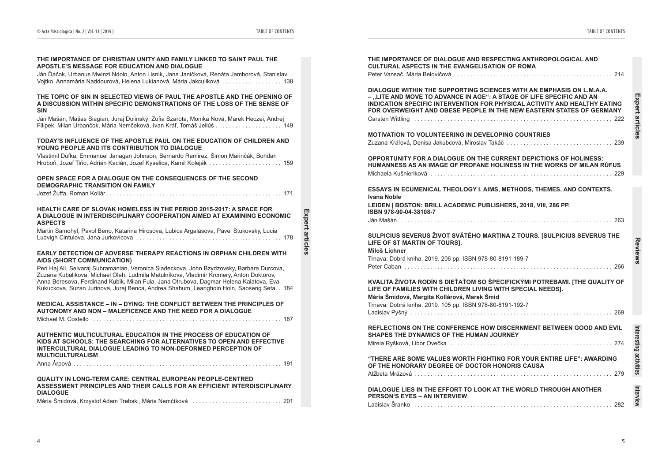| THE IMPORTANCE OF CHRISTIAN UNITY AND FAMILY LINKED TO SAINT PAUL THE<br>APOSTLE'S MESSAGE FOR EDUCATION AND DIALOGUE<br>Ján Ďačok, Urbanus Mwinzi Ndolo, Anton Lisnik, Jana Janičková, Renáta Jamborová, Stanislav<br>Vojtko, Annamária Naddourová, Helena Lukianová, Mária Jakculiková  138                                                                                 |                 |  |
|-------------------------------------------------------------------------------------------------------------------------------------------------------------------------------------------------------------------------------------------------------------------------------------------------------------------------------------------------------------------------------|-----------------|--|
| THE TOPIC OF SIN IN SELECTED VIEWS OF PAUL THE APOSTLE AND THE OPENING OF<br>A DISCUSSION WITHIN SPECIFIC DEMONSTRATIONS OF THE LOSS OF THE SENSE OF<br><b>SIN</b>                                                                                                                                                                                                            |                 |  |
| Ján Mašán, Matias Siagian, Juraj Dolinský, Zofia Szarota, Monika Nová, Marek Heczei, Andrej<br>Filipek, Milan Urbančok, Mária Nemčeková, Ivan Kráľ, Tomáš Jellúš  149                                                                                                                                                                                                         |                 |  |
| TODAY'S INFLUENCE OF THE APOSTLE PAUL ON THE EDUCATION OF CHILDREN AND<br>YOUNG PEOPLE AND ITS CONTRIBUTION TO DIALOGUE                                                                                                                                                                                                                                                       |                 |  |
| Vlastimil Dufka, Emmanuel Janagan Johnson, Bernardo Ramirez, Šimon Marinčák, Bohdan                                                                                                                                                                                                                                                                                           |                 |  |
| OPEN SPACE FOR A DIALOGUE ON THE CONSEQUENCES OF THE SECOND<br><b>DEMOGRAPHIC TRANSITION ON FAMILY</b>                                                                                                                                                                                                                                                                        |                 |  |
|                                                                                                                                                                                                                                                                                                                                                                               |                 |  |
| HEALTH CARE OF SLOVAK HOMELESS IN THE PERIOD 2015-2017: A SPACE FOR<br>A DIALOGUE IN INTERDISCIPLINARY COOPERATION AIMED AT EXAMINING ECONOMIC<br><b>ASPECTS</b><br>Martin Samohyl, Pavol Beno, Katarina Hirosova, Lubica Argalasova, Pavel Stukovsky, Lucia                                                                                                                  | Expert articles |  |
| EARLY DETECTION OF ADVERSE THERAPY REACTIONS IN ORPHAN CHILDREN WITH<br><b>AIDS (SHORT COMMUNICATION)</b>                                                                                                                                                                                                                                                                     |                 |  |
| Peri Haj Ali, Selvaraj Subramanian, Veronica Sladeckova, John Bzydzovsky, Barbara Durcova,<br>Zuzana Kubalikova, Michael Olah, Ludmila Matulníkova, Vladimir Krcmery, Anton Doktorov,<br>Anna Beresova, Ferdinand Kubik, Milan Fula, Jana Otrubova, Dagmar Helena Kalatova, Eva<br>Kukuckova, Suzan Jurinova, Juraj Benca, Andrea Shahum, Leanghoin Hoin, Saoseng Seta. . 184 |                 |  |
| MEDICAL ASSISTANCE – IN – DYING: THE CONFLICT BETWEEN THE PRINCIPLES OF<br>AUTONOMY AND NON – MALEFICENCE AND THE NEED FOR A DIALOGUE                                                                                                                                                                                                                                         |                 |  |
|                                                                                                                                                                                                                                                                                                                                                                               |                 |  |
| AUTHENTIC MULTICULTURAL EDUCATION IN THE PROCESS OF EDUCATION OF<br>KIDS AT SCHOOLS: THE SEARCHING FOR ALTERNATIVES TO OPEN AND EFFECTIVE<br><b>INTERCULTURAL DIALOGUE LEADING TO NON-DEFORMED PERCEPTION OF</b><br><b>MULTICULTURALISM</b>                                                                                                                                   |                 |  |
|                                                                                                                                                                                                                                                                                                                                                                               |                 |  |
| <b>QUALITY IN LONG-TERM CARE: CENTRAL EUROPEAN PEOPLE-CENTRED</b><br>ASSESSMENT PRINCIPLES AND THEIR CALLS FOR AN EFFICIENT INTERDISCIPLINARY<br><b>DIALOGUE</b>                                                                                                                                                                                                              |                 |  |
|                                                                                                                                                                                                                                                                                                                                                                               |                 |  |

| THE IMPORTANCE OF DIALOGUE AND RESPECTING ANTHROPOLOGICAL AND<br><b>CULTURAL ASPECTS IN THE EVANGELISATION OF ROMA</b><br>DIALOGUE WITHIN THE SUPPORTING SCIENCES WITH AN EMPHASIS ON L.M.A.A.<br>- "LITE AND MOVE TO ADVANCE IN AGE": A STAGE OF LIFE SPECIFIC AND AN<br>INDICATION SPECIFIC INTERVENTION FOR PHYSICAL ACTIVITY AND HEALTHY EATING<br>FOR OVERWEIGHT AND OBESE PEOPLE IN THE NEW EASTERN STATES OF GERMANY<br><b>MOTIVATION TO VOLUNTEERING IN DEVELOPING COUNTRIES</b><br>OPPORTUNITY FOR A DIALOGUE ON THE CURRENT DEPICTIONS OF HOLINESS:<br>HUMANNESS AS AN IMAGE OF PROFANE HOLINESS IN THE WORKS OF MILAN RUFUS<br>Michaela Kušnieriková …………………………………………………………………………… 229 | Expert articles        |
|---------------------------------------------------------------------------------------------------------------------------------------------------------------------------------------------------------------------------------------------------------------------------------------------------------------------------------------------------------------------------------------------------------------------------------------------------------------------------------------------------------------------------------------------------------------------------------------------------------------------------------------------------------------------------------------------------|------------------------|
| ESSAYS IN ECUMENICAL THEOLOGY I. AIMS, METHODS, THEMES, AND CONTEXTS.<br><b>Ivana Noble</b><br>LEIDEN   BOSTON: BRILL ACADEMIC PUBLISHERS, 2018, VIII, 286 PP.<br>ISBN 978-90-04-38108-7<br>SULPICIUS SEVERUS ŽIVOT SVÄTÉHO MARTINA Z TOURS. [SULPICIUS SEVERUS THE<br>LIFE OF ST MARTIN OF TOURS].<br>Miloš Lichner<br>Trnava: Dobrá kniha, 2019. 206 pp. ISBN 978-80-8191-189-7<br>KVALITA ŽIVOTA RODÍN S DIEŤAŤOM SO ŠPECIFICKÝMI POTREBAMI. [THE QUALITY OF<br>LIFE OF FAMILIES WITH CHILDREN LIVING WITH SPECIAL NEEDS].<br>Mária Šmidová, Margita Kollárová, Marek Šmid<br>Trnava: Dobrá kniha, 2019. 105 pp. ISBN 978-80-8191-192-7                                                        | <b>Reviews</b>         |
| REFLECTIONS ON THE CONFERENCE HOW DISCERNMENT BETWEEN GOOD AND EVIL<br>SHAPES THE DYNAMICS OF THE HUMAN JOURNEY<br>"THERE ARE SOME VALUES WORTH FIGHTING FOR YOUR ENTIRE LIFE": AWARDING<br>OF THE HONORARY DEGREE OF DOCTOR HONORIS CAUSA                                                                                                                                                                                                                                                                                                                                                                                                                                                        | Interesting activities |
| DIALOGUE LIES IN THE EFFORT TO LOOK AT THE WORLD THROUGH ANOTHER<br><b>PERSON'S EYES - AN INTERVIEW</b>                                                                                                                                                                                                                                                                                                                                                                                                                                                                                                                                                                                           | Interview              |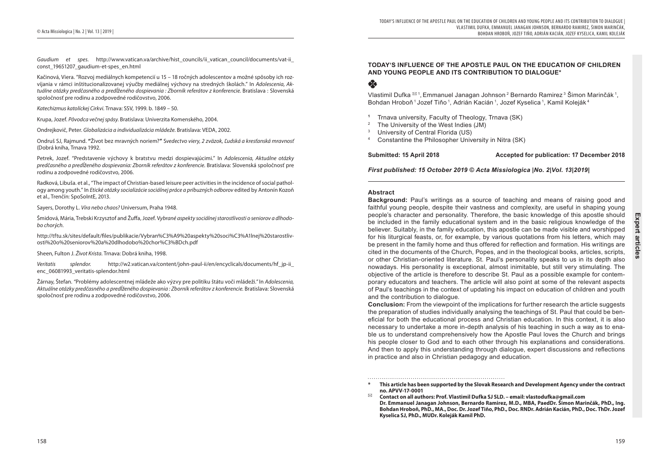Gaudium et spes. http://www.vatican.va/archive/hist\_councils/ii\_vatican\_council/documents/vat-ii const\_19651207\_gaudium-et-spes\_en.html

Kačinová, Viera. "Rozvoj mediálnych kompetencií u 15 – 18 ročných adolescentov a možné spôsoby ich rozvíjania v rámci inštitucionalizovanej výučby mediálnej výchovy na stredných školách." In Adolescenia, Aktuálne otázky predčasného a predĺženého dospievania : Zborník referátov z konferencie. Bratislava : Slovenská spoločnosť pre rodinu a zodpovedné rodičovstvo, 2006.

Katechizmus katolíckej Cirkvi. Trnava: SSV, 1999. b. 1849 – 50.

Krupa, Jozef. Pôvodca večnej spásy. Bratislava: Univerzita Komenského, 2004.

Ondrejkovič, Peter. Globalizácia a individualizácia mládeže. Bratislava: VEDA, 2002.

Ondruš SJ, Rajmund. **"**Život bez mravných noriem?**"** Svedectvo viery, 2 zväzok, Ľudská a kresťanská mravnosť (Dobrá kniha, Trnava 1992.

Petrek, Jozef. "Predstavenie výchovy k bratstvu medzi dospievajúcimi." In Adolescenia, Aktuálne otázky predčasného a predĺženého dospievania: Zborník referátov z konferencie. Bratislava: Slovenská spoločnosť pre rodinu a zodpovedné rodičovstvo, 2006.

Radková, Libuša. et al., "The impact of Christian-based leisure peer activities in the incidence of social pathology among youth." In Etické otázky socializácie sociálnej práce a príbuzných odborov edited by Antonín Kozoň et al., Trenčín: SpoSoIntE, 2013.

Sayers, Dorothy L. Víra nebo chaos? Universum, Praha 1948.

Šmidová, Mária, Trebski Krzysztof and Žuffa, Jozef. Vybrané aspekty sociálnej starostlivosti o seniorov a dlhodobo chorých.

http://tftu.sk/sites/default/files/publikacie/Vybran%C3%A9%20aspekty%20soci%C3%A1lnej%20starostlivosti%20o%20seniorov%20a%20dlhodobo%20chor%C3%BDch.pdf

Sheen, Fulton J. Život Krista. Trnava: Dobrá kniha, 1998.

Veritatis splendor. http://w2.vatican.va/content/john-paul-ii/en/encyclicals/documents/hf\_jp-ii\_ enc\_06081993\_veritatis-splendor.html

Žárnay, Štefan. "Problémy adolescentnej mládeže ako výzvy pre politiku štátu voči mládeži." In Adolescenia, Aktuálne otázky predčasného a predĺženého dospievania : Zborník referátov z konferencie. Bratislava: Slovenská spoločnosť pre rodinu a zodpovedné rodičovstvo, 2006.

**TODAY'S INFLUENCE OF THE APOSTLE PAUL ON THE EDUCATION OF CHILDREN AND YOUNG PEOPLE AND ITS CONTRIBUTION TO DIALOGUE\*** <sup>434</sup>

# $\frac{1}{2}$

Vlastimil Dufka <sup>⊠ 1</sup>, Emmanuel Janagan Johnson <sup>2</sup> Bernardo Ramirez <sup>3</sup> Šimon Marinčák <sup>1</sup>, Bohdan Hroboň <sup>1</sup> Jozef Tiňo <sup>1</sup>, Adrián Kacián <sup>1</sup>, Jozef Kyselica <sup>1</sup>, Kamil Koleják <del>'</del>

- **1 Trnava university, Faculty of Theology, Trnava (SK)**<br><sup>2</sup> The University of the West Indies (JM)
- The University of the West Indies (JM)
- <sup>3</sup> University of Central Florida (US)
- <sup>4</sup>Constantine the Philosopher University in Nitra (SK)

**Submitted: 15 April 2018 Accepted for publication: 17 December 2018** 

*First published: 15 October 2019 © Acta Missiologica |No. 2|Vol. 13|2019|*

### **Abstract**

**Background:** Paul's writings as a source of teaching and means of raising good and faithful young people, despite their vastness and complexity, are useful in shaping young people's character and personality. Therefore, the basic knowledge of this apostle should be included in the family educational system and in the basic religious knowledge of the believer. Suitably, in the family education, this apostle can be made visible and worshipped for his liturgical feasts, or, for example, by various quotations from his letters, which may be present in the family home and thus offered for reflection and formation. His writings are cited in the documents of the Church, Popes, and in the theological books, articles, scripts, or other Christian-oriented literature. St. Paul's personality speaks to us in its depth also nowadays. His personality is exceptional, almost inimitable, but still very stimulating. The objective of the article is therefore to describe St . Paul as a possible example for contemporary educators and teachers. The article will also point at some of the relevant aspects of Paul's teachings in the context of updating his impact on education of children and youth and the contribution to dialogue .

**Conclusion:** From the viewpoint of the implications for further research the article suggests the preparation of studies individually analysing the teachings of St. Paul that could be beneficial for both the educational process and Christian education. In this context, it is also necessary to undertake a more in-depth analysis of his teaching in such a way as to enable us to understand comprehensively how the Apostle Paul loves the Church and brings his people closer to God and to each other through his explanations and considerations . And then to apply this understanding through dialogue, expert discussions and reflections in practice and also in Christian pedagogy and education.

 **\* This article has been supported by the Slovak Research and Development Agency under the contract no. APVV-17-0001** 

**Expert articles**

Expert article

<sup>✉</sup> **Contact on all authors: Prof. Vlastimil Dufka SJ SLD. – email: vlastodufka@gmail.com Dr. Emmanuel Janagan Johnson, Bernardo Ramirez, M.D., MBA, PaedDr. Šimon Marinčák, PhD., Ing. Bohdan Hroboň, PhD., MA., Doc. Dr. Jozef Tiňo, PhD., Doc. RNDr. Adrián Kacián, PhD., Doc. ThDr. Jozef Kyselica SJ, PhD., MUDr. Koleják Kamil PhD.**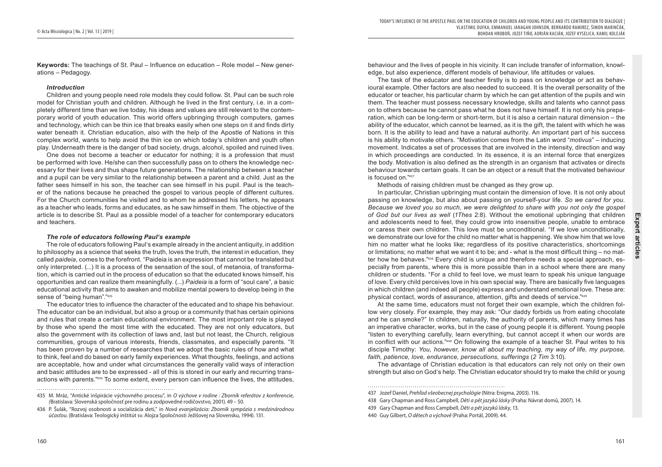**Keywords:** The teachings of St. Paul – Influence on education – Role model – New generations - Pedagogy.

### *Introduction*

Children and young people need role models they could follow. St. Paul can be such role model for Christian youth and children. Although he lived in the first century, i.e. in a completely different time than we live today, his ideas and values are still relevant to the contemporary world of youth education. This world offers upbringing through computers, games and technology, which can be thin ice that breaks easily when one steps on it and finds dirty water beneath it. Christian education, also with the help of the Apostle of Nations in this complex world, wants to help avoid the thin ice on which today's children and youth often play . Underneath there is the danger of bad society, drugs, alcohol, spoiled and ruined lives .

One does not become a teacher or educator for nothing; it is a profession that must be performed with love. He/she can then successfully pass on to others the knowledge necessary for their lives and thus shape future generations. The relationship between a teacher and a pupil can be very similar to the relationship between a parent and a child. Just as the father sees himself in his son, the teacher can see himself in his pupil. Paul is the teacher of the nations because he preached the gospel to various people of different cultures . For the Church communities he visited and to whom he addressed his letters, he appears as a teacher who leads, forms and educates, as he saw himself in them. The objective of the article is to describe St . Paul as a possible model of a teacher for contemporary educators and teachers .

### *The role of educators following Paul's example*

The role of educators following Paul's example already in the ancient antiquity, in addition to philosophy as a science that seeks the truth, loves the truth, the interest in education, they called *paideia*, comes to the forefront*.* "Paideia is an expression that cannot be translated but only interpreted. (...) It is a process of the sensation of the soul, of metanoia, of transformation, which is carried out in the process of education so that the educated knows himself, his opportunities and can realize them meaningfully. (...) *Paideia* is a form of "soul care", a basic educational activity that aims to awaken and mobilize mental powers to develop being in the sense of "being human"."435

The educator tries to influence the character of the educated and to shape his behaviour. The educator can be an individual, but also a group or a community that has certain opinions and rules that create a certain educational environment . The most important role is played by those who spend the most time with the educated. They are not only educators, but also the government with its collection of laws and, last but not least, the Church, religious communities, groups of various interests, friends, classmates, and especially parents . "It has been proven by a number of researches that we adopt the basic rules of how and what to think, feel and do based on early family experiences. What thoughts, feelings, and actions are acceptable, how and under what circumstances the generally valid ways of interaction and basic attitudes are to be expressed - all of this is stored in our early and recurring transactions with parents."436 To some extent, every person can influence the lives, the attitudes,

behaviour and the lives of people in his vicinity. It can include transfer of information, knowledge, but also experience, different models of behaviour, life attitudes or values .

The task of the educator and teacher firstly is to pass on knowledge or act as behavioural example. Other factors are also needed to succeed. It is the overall personality of the educator or teacher, his particular charm by which he can get attention of the pupils and win them. The teacher must possess necessary knowledge, skills and talents who cannot pass on to others because he cannot pass what he does not have himself. It is not only his preparation, which can be long-term or short-term, but it is also a certain natural dimension – the ability of the educator, which cannot be learned, as it is the gift, the talent with which he was born . It is the ability to lead and have a natural authority . An important part of his success is his ability to motivate others. "Motivation comes from the Latin word "*motivus*" – inducing movement. Indicates a set of processes that are involved in the intensity, direction and way in which proceedings are conducted. In its essence, it is an internal force that energizes the body. Motivation is also defined as the strength in an organism that activates or directs behaviour towards certain goals. It can be an object or a result that the motivated behaviour is focused on."437

Methods of raising children must be changed as they grow up.

In particular, Christian upbringing must contain the dimension of love. It is not only about passing on knowledge, but also about passing on yourself-your life. *So we cared for you. Because we loved you so much, we were delighted to share with you not only the gospel of God but our lives as well* (*1Thes* 2:8). Without the emotional upbringing that children and adolescents need to feel, they could grow into insensitive people, unable to embrace or caress their own children. This love must be unconditional. "If we love unconditionally, we demonstrate our love for the child no matter what is happening. We show him that we love him no matter what he looks like; regardless of its positive characteristics, shortcomings or limitations; no matter what we want it to be; and - what is the most difficult thing – no matter how he behaves."438 Every child is unique and therefore needs a special approach, especially from parents, where this is more possible than in a school where there are many children or students. "For a child to feel love, we must learn to speak his unique language of love. Every child perceives love in his own special way. There are basically five languages in which children (and indeed all people) express and understand emotional love. These are: physical contact, words of assurance, attention, gifts and deeds of service."<sup>439</sup>

At the same time, educators must not forget their own example, which the children follow very closely. For example, they may ask: "Our daddy forbids us from eating chocolate and he can smoke?" In children, naturally, the authority of parents, which many times has an imperative character, works, but in the case of young people it is different. Young people "listen to everything carefully, learn everything, but cannot accept it when our words are in conflict with our actions."440 On following the example of a teacher St. Paul writes to his disciple Timothy: *You, however, know all about my teaching, my way of life, my purpose, faith, patience, love, endurance, persecutions, sufferings* (*2 Tim* 3:10).

The advantage of Christian education is that educators can rely not only on their own strength but also on God's help. The Christian educator should try to make the child or young

<sup>435</sup> M. Mráz, "Antické inšpirácie výchovného procesu", in O výchove v rodine : Zborník referátov z konferencie, (Bratislava: Slovenská spoločnosť pre rodinu a zodpovedné rodičovstvo, 2001). 49 – 50.

<sup>436</sup> P. Šulák, "Rozvoj osobnosti a socializácia detí," in Nová evanjelizácia: Zborník sympózia s medzinárodnou účasťou. (Bratislava: Teologický inštitút sv. Alojza Spoločnosti Ježišovej na Slovensku, 1994). 131.

<sup>437</sup> Jozef Daniel, Prehľad všeobecnej psychológie (Nitra: Enigma, 2003). 116.

<sup>438</sup> Gary Chapman and Ross Campbell, Děti a pět jazyků lásky (Praha: Návrat domů, 2007). 14.

<sup>439</sup> Gary Chapman and Ross Campbell, Děti a pět jazyků lásky, 13.

<sup>440</sup> Guy Gilbert, O dětech a výchově (Praha: Portál, 2009). 44.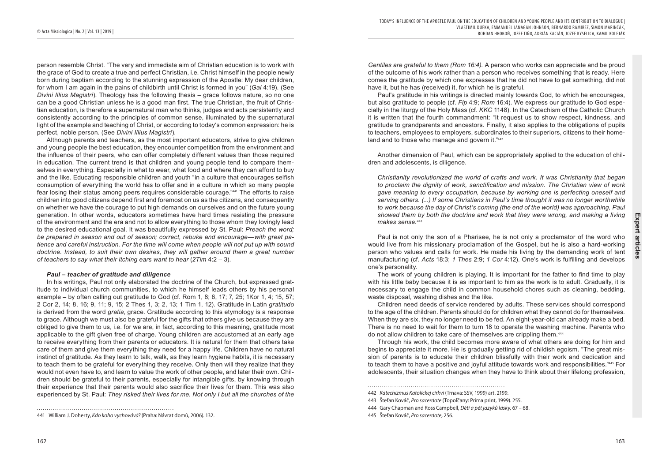person resemble Christ. "The very and immediate aim of Christian education is to work with the grace of God to create a true and perfect Christian, i.e. Christ himself in the people newly born during baptism according to the stunning expression of the Apostle: My dear children, for whom I am again in the pains of childbirth until Christ is formed in you" (*Gal* 4:19). (See *Divini Illius Magistri*)*.* Theology has the following thesis – grace follows nature, so no one can be a good Christian unless he is a good man first. The true Christian, the fruit of Christian education, is therefore a supernatural man who thinks, judges and acts persistently and consistently according to the principles of common sense, illuminated by the supernatural light of the example and teaching of Christ, or according to today's common expression: he is perfect, noble person. (See *Divini Illius Magistri*)*.*

Although parents and teachers, as the most important educators, strive to give children and young people the best education, they encounter competition from the environment and the influence of their peers, who can offer completely different values than those required in education. The current trend is that children and young people tend to compare themselves in everything. Especially in what to wear, what food and where they can afford to buy and the like. Educating responsible children and youth "in a culture that encourages selfish consumption of everything the world has to offer and in a culture in which so many people fear losing their status among peers requires considerable courage ."441 The efforts to raise children into good citizens depend first and foremost on us as the citizens, and consequently on whether we have the courage to put high demands on ourselves and on the future young generation. In other words, educators sometimes have hard times resisting the pressure of the environment and the era and not to allow everything to those whom they lovingly lead to the desired educational goal. It was beautifully expressed by St. Paul: *Preach the word; be prepared in season and out of season; correct, rebuke and encourage—with great patience and careful instruction. For the time will come when people will not put up with sound doctrine. Instead, to suit their own desires, they will gather around them a great number of teachers to say what their itching ears want to hear* (*2Tim* 4:2 – 3).

### *Paul – teacher of gratitude and diligence*

In his writings, Paul not only elaborated the doctrine of the Church, but expressed gratitude to individual church communities, to which he himself leads others by his personal example *–* by often calling out gratitude to God (cf. Rom 1, 8; 6, 17; 7, 25; 1Kor 1, 4; 15, 57; 2 Cor 2, 14; 8, 16; 9, 11; 9, 15; 2 Thes 1, 3; 2, 13; 1 Tim 1, 12). Gratitude in Latin *gratitudo* is derived from the word *gratia*, grace . Gratitude according to this etymology is a response to grace. Although we must also be grateful for the gifts that others give us because they are obliged to give them to us, i.e. for we are, in fact, according to this meaning, gratitude most applicable to the gift given free of charge . Young children are accustomed at an early age to receive everything from their parents or educators . It is natural for them that others take care of them and give them everything they need for a happy life. Children have no natural instinct of gratitude. As they learn to talk, walk, as they learn hygiene habits, it is necessary to teach them to be grateful for everything they receive. Only then will they realize that they would not even have to, and learn to value the work of other people, and later their own. Children should be grateful to their parents, especially for intangible gifts, by knowing through their experience that their parents would also sacrifice their lives for them. This was also experienced by St. Paul: They risked their lives for me. Not only I but all the churches of the

*Gentiles are grateful to them (Rom 16:4).* A person who works can appreciate and be proud of the outcome of his work rather than a person who receives something that is ready. Here comes the gratitude by which one expresses that he did not have to get something, did not have it, but he has (received) it, for which he is grateful.

Paul's gratitude in his writings is directed mainly towards God, to which he encourages, but also gratitude to people (cf. *Flp* 4:9; *Rom* 16:4). We express our gratitude to God especially in the liturgy of the Holy Mass (cf. *KKC* 1148). In the Catechism of the Catholic Church it is written that the fourth commandment: "It request us to show respect, kindness, and gratitude to grandparents and ancestors. Finally, it also applies to the obligations of pupils to teachers, employees to employers, subordinates to their superiors, citizens to their homeland and to those who manage and govern it."442

Another dimension of Paul, which can be appropriately applied to the education of children and adolescents, is diligence.

*Christianity revolutionized the world of crafts and work. It was Christianity that began to proclaim the dignity of work, sanctification and mission. The Christian view of work gave meaning to every occupation, because by working one is perfecting oneself and serving others. (...) If some Christians in Paul's time thought it was no longer worthwhile to work because the day of Christ's coming (the end of the world) was approaching, Paul showed them by both the doctrine and work that they were wrong, and making a living makes sense.*<sup>443</sup>

Paul is not only the son of a Pharisee, he is not only a proclamator of the word who would live from his missionary proclamation of the Gospel, but he is also a hard-working person who values and calls for work. He made his living by the demanding work of tent manufacturing (cf. *Acts* 18:3; *1 Thes* 2:9; *1 Cor* 4:12). One's work is fulfilling and develops one's personality.

The work of young children is playing. It is important for the father to find time to play with his little baby because it is as important to him as the work is to adult. Gradually, it is necessary to engage the child in common household chores such as cleaning, bedding, waste disposal, washing dishes and the like.

Children need deeds of service rendered by adults. These services should correspond to the age of the children. Parents should do for children what they cannot do for themselves. When they are six, they no longer need to be fed. An eight-year-old can already make a bed. There is no need to wait for them to turn 18 to operate the washing machine. Parents who do not allow children to take care of themselves are crippling them.<sup>444</sup>

Through his work, the child becomes more aware of what others are doing for him and begins to appreciate it more . He is gradually getting rid of childish egoism . "The great mission of parents is to educate their children blissfully with their work and dedication and to teach them to have a positive and joyful attitude towards work and responsibilities."445 For adolescents, their situation changes when they have to think about their lifelong profession,

<sup>441</sup> William J. Doherty, Kdo koho vychovává? (Praha: Návrat domů, 2006). 132.

<sup>442</sup> Katechizmus Katolíckej cirkvi (Trnava: SSV, 1999) art. 2199.

<sup>443</sup> Štefan Kováč, Pro sacerdote (Topoľčany: Prima print, 1999). 255.

<sup>444</sup> Gary Chapman and Ross Campbell, Děti a pět jazyků lásky, 67 – 68.

<sup>445</sup> Štefan Kováč, Pro sacerdote, 256.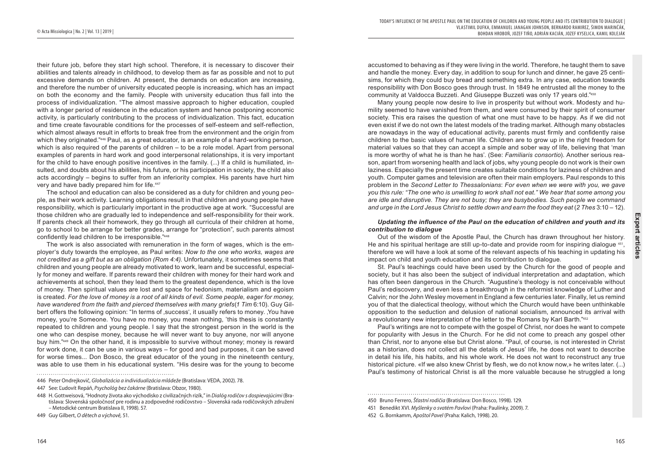their future job, before they start high school . Therefore, it is necessary to discover their abilities and talents already in childhood, to develop them as far as possible and not to put excessive demands on children. At present, the demands on education are increasing, and therefore the number of university educated people is increasing, which has an impact on both the economy and the family. People with university education thus fall into the process of individualization . "The almost massive approach to higher education, coupled with a longer period of residence in the education system and hence postponing economic activity, is particularly contributing to the process of individualization . This fact, education and time create favourable conditions for the processes of self-esteem and self-reflection, which almost always result in efforts to break free from the environment and the origin from which they originated."<sup>446</sup> Paul, as a great educator, is an example of a hard-working person, which is also required of the parents of children – to be a role model. Apart from personal examples of parents in hard work and good interpersonal relationships, it is very important for the child to have enough positive incentives in the family. (...) If a child is humiliated, insulted, and doubts about his abilities, his future, or his participation in society, the child also acts accordingly – begins to suffer from an inferiority complex . His parents have hurt him very and have badly prepared him for life.<sup>447</sup>

The school and education can also be considered as a duty for children and young people, as their work activity. Learning obligations result in that children and young people have responsibility, which is particularly important in the productive age at work. "Successful are those children who are gradually led to independence and self-responsibility for their work. If parents check all their homework, they go through all curricula of their children at home, go to school to be arrange for better grades, arrange for "protection", such parents almost confidently lead children to be irresponsible."<sup>448</sup>

The work is also associated with remuneration in the form of wages, which is the employer's duty towards the employee, as Paul writes: *Now to the one who works, wages are not credited as a gift but as an obligation (Rom 4:4)* . Unfortunately, it sometimes seems that children and young people are already motivated to work, learn and be successful, especially for money and welfare. If parents reward their children with money for their hard work and achievements at school, then they lead them to the greatest dependence, which is the love of money . Then spiritual values are lost and space for hedonism, materialism and egoism is created . *For the love of money is a root of all kinds of evil. Some people, eager for money, have wandered from the faith and pierced themselves with many griefs*(*1 Tim* 6:10). Guy Gilbert offers the following opinion: "In terms of , success', it usually refers to money. You have money, you're Someone. You have no money, you mean nothing, 'this thesis is constantly repeated to children and young people. I say that the strongest person in the world is the one who can despise money, because he will never want to buy anyone, nor will anyone buy him ."449 On the other hand, it is impossible to survive without money; money is reward for work done, it can be use in various ways – for good and bad purposes, it can be saved for worse times... Don Bosco, the great educator of the young in the nineteenth century, was able to use them in his educational system. "His desire was for the young to become

164 165

accustomed to behaving as if they were living in the world. Therefore, he taught them to save and handle the money . Every day, in addition to soup for lunch and dinner, he gave 25 centisims, for which they could buy bread and something extra. In any case, education towards responsibility with Don Bosco goes through trust. In 1849 he entrusted all the money to the community at Valdocca Buzzeti. And Giuseppe Buzzeti was only 17 years old." 450

Many young people now desire to live in prosperity but without work. Modesty and humility seemed to have vanished from them, and were consumed by their spirit of consumer society. This era raises the question of what one must have to be happy. As if we did not even exist if we do not own the latest models of the trading market. Although many obstacles are nowadays in the way of educational activity, parents must firmly and confidently raise children to the basic values of human life. Children are to grow up in the right freedom for material values so that they can accept a simple and sober way of life, believing that 'man is more worthy of what he is than he has'. (See: *Familiaris consortio*). Another serious reason, apart from worsening health and lack of jobs, why young people do not work is their own laziness . Especially the present time creates suitable conditions for laziness of children and youth. Computer games and television are often their main employers. Paul responds to this problem in the *Second Letter to Thessalonians*: *For even when we were with you, we gave you this rule: "The one who is unwilling to work shall not eat." We hear that some among you are idle and disruptive. They are not busy; they are busybodies. Such people we command and urge in the Lord Jesus Christ to settle down and earn the food they eat* (*2 Thes* 3:10 – 12).

*Updating the influence of the Paul on the education of children and youth and its contribution to dialogue*

Out of the wisdom of the Apostle Paul, the Church has drawn throughout her history. He and his spiritual heritage are still up-to-date and provide room for inspiring dialogue <sup>451</sup>, therefore we will have a look at some of the relevant aspects of his teaching in updating his impact on child and youth education and its contribution to dialogue .

St. Paul's teachings could have been used by the Church for the good of people and society, but it has also been the subject of individual interpretation and adaptation, which has often been dangerous in the Church. "Augustine's theology is not conceivable without Paul's rediscovery, and even less a breakthrough in the reformist knowledge of Luther and Calvin; nor the John Wesley movement in England a few centuries later. Finally, let us remind you of that the dialectical theology, without which the Church would have been unthinkable opposition to the seduction and delusion of national socialism, announced its arrival with a revolutionary new interpretation of the letter to the Romans by Karl Barth."<sup>452</sup>

Paul's writings are not to compete with the gospel of Christ, nor does he want to compete for popularity with Jesus in the Church. For he did not come to preach any gospel other than Christ, nor to anyone else but Christ alone. "Paul, of course, is not interested in Christ as a historian, does not collect all the details of Jesus' life, he does not want to describe in detail his life, his habits, and his whole work. He does not want to reconstruct any true historical picture. «If we also knew Christ by flesh, we do not know now,» he writes later. (...) Paul's testimony of historical Christ is all the more valuable because he struggled a long

<sup>446</sup> Peter Ondrejkovič, Globalizácia a individualizácia mládeže (Bratislava: VEDA, 2002). 78.

<sup>447</sup> See: Ľudovít Repáň, Psychológ bez čakárne (Bratislava: Obzor, 1980).

<sup>448</sup> H. Gottweisová, "Hodnoty života ako východisko z civilizačných rizík," in Dialóg rodičov s dospievajúcimi (Bratislava: Slovenská spoločnosť pre rodinu a zodpovedné rodičovstvo – Slovenská rada rodičovských združení – Metodické centrum Bratislava II, 1998). 57.

<sup>449</sup> Guy Gilbert, O dětech a výchově, 51.

<sup>450</sup> Bruno Ferrero, Šťastní rodičia (Bratislava: Don Bosco, 1998). 129.

<sup>451</sup> Benedikt XVI. Myšlenky o svatém Pavlovi (Praha: Paulínky, 2009). 7.

<sup>452</sup> G. Bornkamm, Apoštol Pavel (Praha: Kalich, 1998). 20.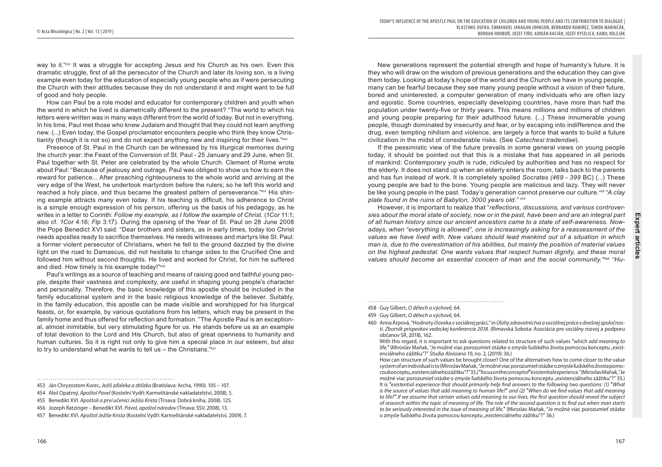way to it."453 It was a struggle for accepting Jesus and his Church as his own. Even this dramatic struggle, first of all the persecutor of the Church and later its loving son, is a living example even today for the education of especially young people who as if were persecuting the Church with their attitudes because they do not understand it and might want to be full of good and holy people.

How can Paul be a role model and educator for contemporary children and youth when the world in which he lived is diametrically different to the present? "The world to which his letters were written was in many ways different from the world of today. But not in everything. In his time, Paul met those who knew Judaism and thought that they could not learn anything new. (...) Even today, the Gospel proclamator encounters people who think they know Christianity (though it is not so) and do not expect anything new and inspiring for their lives."454

Presence of St. Paul in the Church can be witnessed by his liturgical memories during the church year: the Feast of the Conversion of St. Paul - 25 January and 29 June, when St. Paul together with St. Peter are celebrated by the whole Church. Clement of Rome wrote about Paul: "Because of jealousy and outrage, Paul was obliged to show us how to earn the reward for patience... After preaching righteousness to the whole world and arriving at the very edge of the West, he undertook martyrdom before the rulers; so he left this world and reached a holy place, and thus became the greatest pattern of perseverance."<sup>455</sup> His shining example attracts many even today. If his teaching is difficult, his adherence to Christ is a simple enough expression of his person, offering us the basis of his pedagogy, as he writes in a letter to Corinth: *Follow my example, as I follow the example of Christ.* (*1Cor* 11:1; also cf . *1Cor* 4:16; *Flp* 3:17). During the opening of the Year of St. Paul on 28 June 2008 the Pope Benedict XVI said: "Dear brothers and sisters, as in early times, today too Christ needs apostles ready to sacrifice themselves. He needs witnesses and martyrs like St. Paul: a former violent persecutor of Christians, when he fell to the ground dazzled by the divine light on the road to Damascus, did not hesitate to change sides to the Crucified One and followed him without second thoughts. He lived and worked for Christ, for him he suffered and died. How timely is his example today!"<sup>456</sup>

Paul's writings as a source of teaching and means of raising good and faithful young people, despite their vastness and complexity, are useful in shaping young people's character and personality. Therefore, the basic knowledge of this apostle should be included in the family educational system and in the basic religious knowledge of the believer. Suitably, in the family education, this apostle can be made visible and worshipped for his liturgical feasts, or, for example, by various quotations from his letters, which may be present in the family home and thus offered for reflection and formation. "The Apostle Paul is an exceptional, almost inimitable, but very stimulating figure for us. He stands before us as an example of total devotion to the Lord and His Church, but also of great openness to humanity and human cultures . So it is right not only to give him a special place in our esteem, but also to try to understand what he wants to tell us  $-$  the Christians." $457$ 

454 Aleš Opatrný, Apoštol Pavel (Kostelní Vydří: Karmelitánské nakladatelství, 2008). 5.

New generations represent the potential strength and hope of humanity's future. It is they who will draw on the wisdom of previous generations and the education they can give them today. Looking at today's hope of the world and the Church we have in young people, many can be fearful because they see many young people without a vision of their future, bored and uninterested, a computer generation of many individuals who are often lazy and egoistic . Some countries, especially developing countries, have more than half the population under twenty-five or thirty years. This means millions and millions of children and young people preparing for their adulthood future. (...) These innumerable young people, though dominated by insecurity and fear, or by escaping into indifference and the drug, even tempting nihilism and violence, are largely a force that wants to build a future civilization in the midst of considerable risks. (See *Catechesi tradendae*).

If the pessimistic view of the future prevails in some general views on young people today, it should be pointed out that this is a mistake that has appeared in all periods of mankind: Contemporary youth is rude, ridiculed by authorities and has no respect for the elderly. It does not stand up when an elderly enters the room, talks back to the parents and has fun instead of work. It is completely spoiled *Socrates (469 - 399* BC) (...) These young people are bad to the bone. Young people are malicious and lazy. They will never be like young people in the past . Today's generation cannot preserve our culture .458 "*A clay plate found in the ruins of Babylon, 3000 years old."* <sup>459</sup>

However, it is important to realize that "*reflections, discussions, and various controversies about the moral state of society, now or in the past, have been and are an integral part of all human history since our ancient ancestors came to a state of self-awareness. Nowadays, when "everything is allowed", one is increasingly asking for a reassessment of the values we have lived with. New values should lead mankind out of a situation in which man is, due to the overestimation of his abilities, but mainly the position of material values on the highest pedestal. One wants values that respect human dignity, and these moral values should become an essential concern of man and the social community.*<sup>2460</sup> "Hu-

<sup>453</sup> Ján Chryzostom Korec, Ježiš zďaleka a zblízka (Bratislava: Archa, 1990). 105 – 107.

<sup>455</sup> Benedikt XVI. Apoštoli a prví učeníci Ježiša Krista (Trnava: Dobrá kniha, 2008). 125.

<sup>456</sup> Jozeph Ratzinger – Benedikt XVI. Pavol, apoštol národov (Trnava: SSV, 2008). 13.

<sup>457</sup> Benedikt XVI. Apoštol Ježíše Krista (Kostelní Vydří: Karmelitánské nakladatelství, 2009). 7.

<sup>458</sup> Guy Gilbert, O dětech a výchově, 64.

<sup>459</sup> Guy Gilbert, O dětech a výchově, 64.

<sup>460</sup> Anna Árpová, "Hodnoty človeka v sociálnej práci," in Úlohy zdravotníctva a sociálnej práce v dnešnej spoločnosti. Zborník príspevkov vedeckej konferencie 2018. (Rimavská Sobota: Asociácia pre sociálny rozvoj a podporu občanov SR, 2018), 162.

With this regard, it is important to ask questions related to structure of such values "which add meaning to life." (Miroslav Maňak, "Je možné viac porozumieť otázke o zmysle ľudského života pomocou konceptu "existenciálneho zážitku"?" Studia Aloisiana 10, no. 2, (2019): 36.)

How can structure of such values be brought closer? One of the alternatives how to come closer to the value system of an individual is to (Miroslav Maňak, "Je možné viac porozumieť otázke o zmysle ľudského života pomocou konceptu "existenciálneho zážitku"?" 35.)" focus on the concept of "existential experience." (Miroslav Maňak, "Je možné viac porozumieť otázke o zmysle ľudského života pomocou konceptu "existenciálneho zážitku"?" 35.) It is "existential experience that should primarily help find answers to the following two questions: (1) "What is the source of values that add meaning to human life?″ and (2) ″When do we find values that add meaning to life?″ If we assume that certain values add meaning to our lives, the first question should reveal the subject of research within the topic of meaning of life. The role of the second question is to find out when man starts to be seriously interested in the issue of meaning of life.″ (Miroslav Maňak, "Je možné viac porozumieť otázke o zmysle ľudského života pomocou konceptu "existenciálneho zážitku"?" 36.)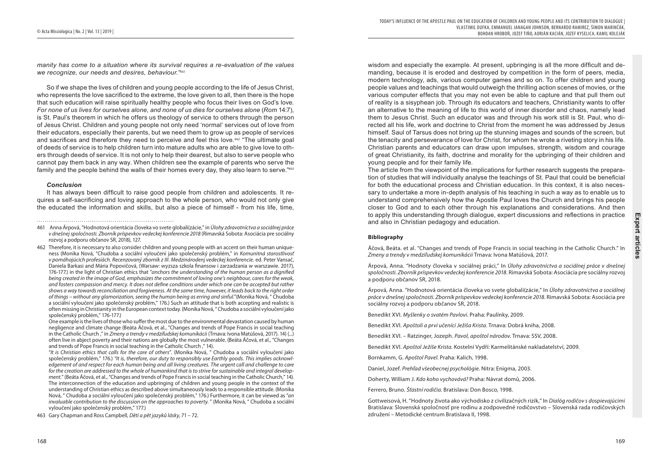*manity has come to a situation where its survival requires a re-evaluation of the values we recognize, our needs and desires, behaviour."*<sup>461</sup>

So if we shape the lives of children and young people according to the life of Jesus Christ, who represents the love sacrificed to the extreme, the love given to all, then there is the hope that such education will raise spiritually healthy people who focus their lives on God's love. *For none of us lives for ourselves alone, and none of us dies for ourselves alone* (*Rom* 14:7), is St. Paul's theorem in which he offers us theology of service to others through the person of Jesus Christ. Children and young people not only need 'normal' services out of love from their educators, especially their parents, but we need them to grow up as people of services and sacrifices and therefore they need to perceive and feel this love.462 "The ultimate goal of deeds of service is to help children turn into mature adults who are able to give love to others through deeds of service. It is not only to help their dearest, but also to serve people who cannot pay them back in any way. When children see the example of parents who serve the family and the people behind the walls of their homes every day, they also learn to serve."<sup>463</sup>

### *Conclusion*

It has always been difficult to raise good people from children and adolescents. It requires a self-sacrificing and loving approach to the whole person, who would not only give the educated the information and skills, but also a piece of himself - from his life, time,

 One example is the lives of those who suffer the most due to the environmental devastation caused by human negligence and climate change (Beáta Áčová, et al., "Changes and trends of Pope Francis in social teaching in the Catholic Church ," in Zmeny a trendy v medziľudskej komunikácii (Trnava: Ivona Matúšová, 2017). 14) (...) often live in abject poverty and their nations are globally the most vulnerable. (Beáta Áčová, et al., "Changes and trends of Pope Francis in social teaching in the Catholic Church ," 14).

 "It is Christian ethics that calls for the care of others". (Monika Nová, " Chudoba a sociální vyloučení jako společenský problém," 176.) "It is, therefore, our duty to responsibly use Earthly goods. This implies acknowledgement of and respect for each human being and all living creatures. The urgent call and challenge to care for the creation are addressed to the whole of humankind that is to strive for sustainable and integral development." (Beáta Áčová, et al., "Changes and trends of Pope Francis in social teaching in the Catholic Church," 14). The interconnection of the education and upbringing of children and young people in the context of the understanding of Christian ethics as described above simultaneously leads to a responsible attitude. (Monika Nová, " Chudoba a sociální vyloučení jako společenský problém," 176.) Furthermore, it can be viewed as "an invaluable contribution to the discussion on the approaches to poverty. " (Monika Nová, " Chudoba a sociální vyloučení jako společenský problém," 177.)

463 Gary Chapman and Ross Campbell, Děti a pět jazyků lásky, 71 – 72.

wisdom and especially the example. At present, upbringing is all the more difficult and demanding, because it is eroded and destroyed by competition in the form of peers, media, modern technology, ads, various computer games and so on . To offer children and young people values and teachings that would outweigh the thrilling action scenes of movies, or the various computer effects that you may not even be able to capture and that pull them out of reality is a sisyphean job. Through its educators and teachers, Christianity wants to offer an alternative to the meaning of life to this world of inner disorder and chaos, namely lead them to Jesus Christ. Such an educator was and through his work still is St. Paul, who directed all his life, work and doctrine to Christ from the moment he was addressed by Jesus himself. Saul of Tarsus does not bring up the stunning images and sounds of the screen, but the tenacity and perseverance of love for Christ, for whom he wrote a riveting story in his life. Christian parents and educators can draw upon impulses, strength, wisdom and courage of great Christianity, its faith, doctrine and morality for the upbringing of their children and young people and for their family life.

The article from the viewpoint of the implications for further research suggests the preparation of studies that will individually analyse the teachings of St. Paul that could be beneficial for both the educational process and Christian education. In this context, it is also necessary to undertake a more in-depth analysis of his teaching in such a way as to enable us to understand comprehensively how the Apostle Paul loves the Church and brings his people closer to God and to each other through his explanations and considerations . And then to apply this understanding through dialogue, expert discussions and reflections in practice and also in Christian pedagogy and education.

### **Bibliography**

Áčová, Beáta. et al. "Changes and trends of Pope Francis in social teaching in the Catholic Church." In Zmeny a trendy v medziľudskej komunikácii Trnava: Ivona Matúšová, 2017.

Árpová, Anna. "Hodnoty človeka v sociálnej práci," In Úlohy zdravotníctva a sociálnej práce v dnešnej spoločnosti. Zborník príspevkov vedeckej konferencie 2018. Rimavská Sobota: Asociácia pre sociálny rozvoj a podporu občanov SR, 2018.

Árpová, Anna. "Hodnotová orientácia človeka vo svete globali(zácie," In Úlohy zdravotníctva a sociálnej práce v dnešnej spoločnosti. Zborník príspevkov vedeckej konferencie 2018. Rimavská Sobota: Asociácia pre sociálny rozvoj a podporu občanov SR, 2018.

Benedikt XVI. Myšlenky o svatém Pavlovi. Praha: Paulínky, 2009.

Benedikt XVI. Apoštoli a prví učeníci Ježiša Krista. Trnava: Dobrá kniha, 2008.

Benedikt XVI. – Ratzinger, Jozeph. Pavol, apoštol národov. Trnava: SSV, 2008.

Benedikt XVI. Apoštol Ježíše Krista. Kostelní Vydří: Karmelitánské nakladatelství, 2009.

Bornkamm, G. Apoštol Pavel. Praha: Kalich, 1998.

Daniel, Jozef. Prehľad všeobecnej psychológie. Nitra: Enigma, 2003.

Doherty, William J. Kdo koho vychovává? Praha: Návrat domů, 2006.

Ferrero, Bruno. Šťastní rodičia. Bratislava: Don Bosco, 1998.

Gottweisová, H. "Hodnoty života ako východisko z civilizačných rizík," In Dialóg rodičov s dospievajúcimi Bratislava: Slovenská spoločnosť pre rodinu a zodpovedné rodičovstvo – Slovenská rada rodičovských združení – Metodické centrum Bratislava II, 1998.

<sup>461</sup> Anna Árpová, "Hodnotová orientácia človeka vo svete globali(zácie," in Úlohy zdravotníctva a sociálnej práce v dnešnej spoločnosti. Zborník príspevkov vedeckej konferencie 2018 (Rimavská Sobota: Asociácia pre sociálny rozvoj a podporu občanov SR, 2018), 127.

<sup>462</sup> Therefore, it is necessary to also consider children and young people with an accent on their human uniqueness (Monika Nová, "Chudoba a sociální vyloučení jako společenský problém," in Komunitná starostlivosť v pomáhajúcich profesiách. Recenzovaný zborník z III. Medzinárodenj vedeckej konferencie. ed. Peter Vansač, Daniela Barkasi and Mária Popovičová, (Warsaw: wyzsza szkola finansow i zarzadzania w warszawie. 2017), 176-177.) in the light of Christian ethics that "anchors the understanding of the human person as a dignified being created in the image of God, emphasizes the commitment of loving one's neighbour, cares for the weak, and fosters compassion and mercy. It does not define conditions under which one can be accepted but rather shows a way towards reconciliation and forgiveness. At the same time, however, it leads back to the right order of things – without any glamorization, seeing the human being as erring and sinful."(Monika Nová, " Chudoba a sociální vyloučení jako společenský problém," 176.) Such an attitude that is both accepting and realistic is often missing in Christianity in the European context today. (Monika Nová, " Chudoba a sociální vyloučení jako společenský problém," 176-177.)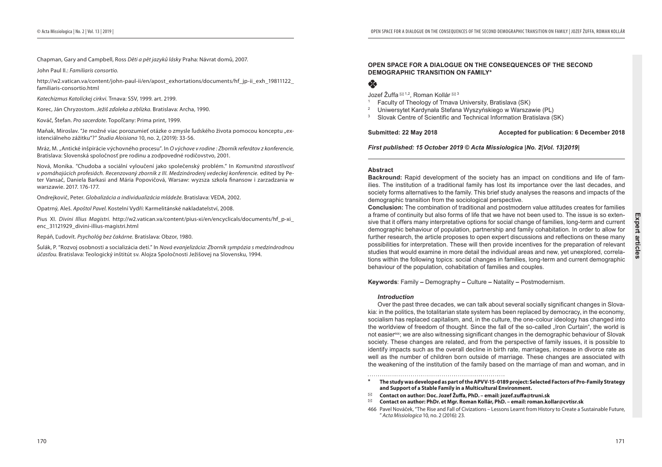Chapman, Gary and Campbell, Ross Děti a pět jazyků lásky Praha: Návrat domů, 2007.

John Paul II.: Familiaris consortio.

http://w2.vatican.va/content/john-paul-ii/en/apost\_exhortations/documents/hf\_jp-ii\_exh\_19811122\_ familiaris-consortio.html

Katechizmus Katolíckej cirkvi. Trnava: SSV, 1999. art. 2199.

Korec, Ján Chryzostom. Ježiš zďaleka a zblízka. Bratislava: Archa, 1990.

Kováč, Štefan. Pro sacerdote. Topoľčany: Prima print, 1999.

Maňak, Miroslav. "Je možné viac porozumieť otázke o zmysle ľudského života pomocou konceptu "existenciálneho zážitku"?" Studia Aloisiana 10, no. 2, (2019): 33-56.

Mráz, M. "Antické inšpirácie výchovného procesu". In O výchove v rodine : Zborník referátov z konferencie, Bratislava: Slovenská spoločnosť pre rodinu a zodpovedné rodičovstvo, 2001.

Nová, Monika. "Chudoba a sociální vyloučení jako společenský problém." In Komunitná starostlivosť v pomáhajúcich profesiách. Recenzovaný zborník z III. Medzinárodenj vedeckej konferencie. edited by Peter Vansač, Daniela Barkasi and Mária Popovičová, Warsaw: wyzsza szkola finansow i zarzadzania w warszawie. 2017. 176-177.

Ondrejkovič, Peter. Globalizácia a individualizácia mládeže. Bratislava: VEDA, 2002.

Opatrný, Aleš. Apoštol Pavel. Kostelní Vydří: Karmelitánské nakladatelství, 2008.

Pius XI. Divini Illius Magistri. http://w2.vatican.va/content/pius-xi/en/encyclicals/documents/hf\_p-xi\_ enc\_31121929\_divini-illius-magistri.html

Repáň, Ľudovít. Psychológ bez čakárne. Bratislava: Obzor, 1980.

Šulák, P. "Rozvoj osobnosti a socializácia detí." In Nová evanjelizácia: Zborník sympózia s medzinárodnou účasťou. Bratislava: Teologický inštitút sv. Alojza Spoločnosti Ježišovej na Slovensku, 1994.

### **OPEN SPACE FOR A DIALOGUE ON THE CONSEQUENCES OF THE SECOND DEMOGRAPHIC TRANSITION ON FAMILY\***

# $\bullet$

Jozef Žuffa  $\boxtimes$  1,2, Roman Kollár  $\boxtimes$  3

- <sup>1</sup> Faculty of Theology of Trnava University, Bratislava (SK)<sup>2</sup> Llniwersytet Kardynała Stefana Wyszyńskiego w Warsza
- <sup>2</sup>Uniwersytet Kardynała Stefana Wyszyńskiego w Warszawie (PL)
- <sup>3</sup>Slovak Centre of Scientific and Technical Information Bratislava (SK)

### **Submitted: 22 May 2018 Accepted for publication: 6 December 2018**

*First published: 15 October 2019 © Acta Missiologica |No. 2|Vol. 13|2019|*

### **Abstract**

**Backround:** Rapid development of the society has an impact on conditions and life of families . The institution of a traditional family has lost its importance over the last decades, and society forms alternatives to the family . This brief study analyses the reasons and impacts of the demographic transition from the sociological perspective .

**Conclusion:** The combination of traditional and postmodern value attitudes creates for families a frame of continuity but also forms of life that we have not been used to. The issue is so extensive that it offers many interpretative options for social change of families, long-term and current demographic behaviour of population, partnership and family cohabitation. In order to allow for further research, the article proposes to open expert discussions and reflections on these many possibilities for interpretation. These will then provide incentives for the preparation of relevant studies that would examine in more detail the individual areas and new, yet unexplored, correlations within the following topics: social changes in families, long-term and current demographic behaviour of the population, cohabitation of families and couples .

**Keywords**: Family **–** Demography **–** Culture **–** Natality **–** Postmodernism .

### *Introduction*

Over the past three decades, we can talk about several socially significant changes in Slovakia: in the politics, the totalitarian state system has been replaced by democracy, in the economy, socialism has replaced capitalism, and, in the culture, the one-colour ideology has changed into the worldview of freedom of thought. Since the fall of the so-called "Iron Curtain", the world is not easier<sup>466</sup>; we are also witnessing significant changes in the demographic behaviour of Slovak society . These changes are related, and from the perspective of family issues, it is possible to identify impacts such as the overall decline in birth rate, marriages, increase in divorce rate as well as the number of children born outside of marriage. These changes are associated with the weakening of the institution of the family based on the marriage of man and woman, and in

**<sup>\*</sup>**464 **The study was developed as part of the APVV-15-0189 project: Selected Factors of Pro-Family Strategy and Support of a Stable Family in a Multicultural Environment.**

<sup>✉</sup>465 **Contact on author: Doc. Jozef Žuffa, PhD. – email: jozef.zuffa@truni.sk**

<sup>✉</sup> **Contact on author: PhDr. et Mgr. Roman Kollár, PhD. – email: roman.kollar@cvtisr.sk**

<sup>466</sup> Pavel Nováček, "The Rise and Fall of Civizations – Lessons Learnt from History to Create a Sustainable Future, " Acta Missiologica 10, no. 2 (2016): 23.